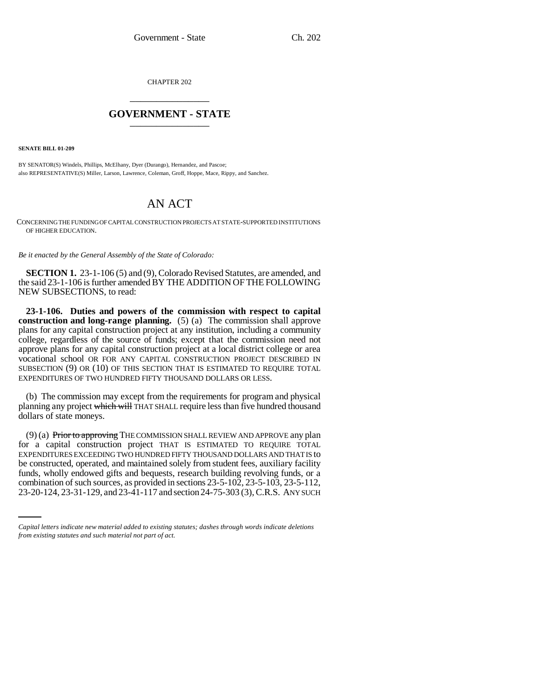CHAPTER 202 \_\_\_\_\_\_\_\_\_\_\_\_\_\_\_

## **GOVERNMENT - STATE** \_\_\_\_\_\_\_\_\_\_\_\_\_\_\_

**SENATE BILL 01-209**

BY SENATOR(S) Windels, Phillips, McElhany, Dyer (Durango), Hernandez, and Pascoe; also REPRESENTATIVE(S) Miller, Larson, Lawrence, Coleman, Groff, Hoppe, Mace, Rippy, and Sanchez.

## AN ACT

CONCERNING THE FUNDING OF CAPITAL CONSTRUCTION PROJECTS AT STATE-SUPPORTED INSTITUTIONS OF HIGHER EDUCATION.

*Be it enacted by the General Assembly of the State of Colorado:*

**SECTION 1.** 23-1-106 (5) and (9), Colorado Revised Statutes, are amended, and the said 23-1-106 is further amended BY THE ADDITION OF THE FOLLOWING NEW SUBSECTIONS, to read:

**23-1-106. Duties and powers of the commission with respect to capital construction and long-range planning.** (5) (a) The commission shall approve plans for any capital construction project at any institution, including a community college, regardless of the source of funds; except that the commission need not approve plans for any capital construction project at a local district college or area vocational school OR FOR ANY CAPITAL CONSTRUCTION PROJECT DESCRIBED IN SUBSECTION (9) OR (10) OF THIS SECTION THAT IS ESTIMATED TO REQUIRE TOTAL EXPENDITURES OF TWO HUNDRED FIFTY THOUSAND DOLLARS OR LESS.

(b) The commission may except from the requirements for program and physical planning any project which will THAT SHALL require less than five hundred thousand dollars of state moneys.

funds, wholly endowed gifts and bequests, research building revolving funds, or a  $(9)$  (a) Prior to approving THE COMMISSION SHALL REVIEW AND APPROVE any plan for a capital construction project THAT IS ESTIMATED TO REQUIRE TOTAL EXPENDITURES EXCEEDING TWO HUNDRED FIFTY THOUSAND DOLLARS AND THAT IS to be constructed, operated, and maintained solely from student fees, auxiliary facility combination of such sources, as provided in sections 23-5-102, 23-5-103, 23-5-112, 23-20-124, 23-31-129, and 23-41-117 and section 24-75-303 (3), C.R.S. ANY SUCH

*Capital letters indicate new material added to existing statutes; dashes through words indicate deletions from existing statutes and such material not part of act.*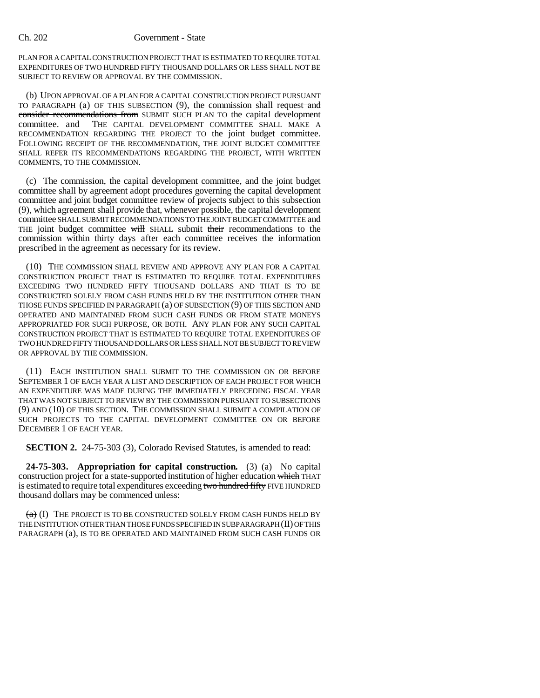## Ch. 202 Government - State

PLAN FOR A CAPITAL CONSTRUCTION PROJECT THAT IS ESTIMATED TO REQUIRE TOTAL EXPENDITURES OF TWO HUNDRED FIFTY THOUSAND DOLLARS OR LESS SHALL NOT BE SUBJECT TO REVIEW OR APPROVAL BY THE COMMISSION.

(b) UPON APPROVAL OF A PLAN FOR A CAPITAL CONSTRUCTION PROJECT PURSUANT TO PARAGRAPH (a) OF THIS SUBSECTION (9), the commission shall request and consider recommendations from SUBMIT SUCH PLAN TO the capital development committee. and THE CAPITAL DEVELOPMENT COMMITTEE SHALL MAKE A RECOMMENDATION REGARDING THE PROJECT TO the joint budget committee. FOLLOWING RECEIPT OF THE RECOMMENDATION, THE JOINT BUDGET COMMITTEE SHALL REFER ITS RECOMMENDATIONS REGARDING THE PROJECT, WITH WRITTEN COMMENTS, TO THE COMMISSION.

(c) The commission, the capital development committee, and the joint budget committee shall by agreement adopt procedures governing the capital development committee and joint budget committee review of projects subject to this subsection (9), which agreement shall provide that, whenever possible, the capital development committee SHALL SUBMIT RECOMMENDATIONS TO THE JOINT BUDGET COMMITTEE and THE joint budget committee will SHALL submit their recommendations to the commission within thirty days after each committee receives the information prescribed in the agreement as necessary for its review.

(10) THE COMMISSION SHALL REVIEW AND APPROVE ANY PLAN FOR A CAPITAL CONSTRUCTION PROJECT THAT IS ESTIMATED TO REQUIRE TOTAL EXPENDITURES EXCEEDING TWO HUNDRED FIFTY THOUSAND DOLLARS AND THAT IS TO BE CONSTRUCTED SOLELY FROM CASH FUNDS HELD BY THE INSTITUTION OTHER THAN THOSE FUNDS SPECIFIED IN PARAGRAPH (a) OF SUBSECTION (9) OF THIS SECTION AND OPERATED AND MAINTAINED FROM SUCH CASH FUNDS OR FROM STATE MONEYS APPROPRIATED FOR SUCH PURPOSE, OR BOTH. ANY PLAN FOR ANY SUCH CAPITAL CONSTRUCTION PROJECT THAT IS ESTIMATED TO REQUIRE TOTAL EXPENDITURES OF TWO HUNDRED FIFTY THOUSAND DOLLARS OR LESS SHALL NOT BE SUBJECT TO REVIEW OR APPROVAL BY THE COMMISSION.

(11) EACH INSTITUTION SHALL SUBMIT TO THE COMMISSION ON OR BEFORE SEPTEMBER 1 OF EACH YEAR A LIST AND DESCRIPTION OF EACH PROJECT FOR WHICH AN EXPENDITURE WAS MADE DURING THE IMMEDIATELY PRECEDING FISCAL YEAR THAT WAS NOT SUBJECT TO REVIEW BY THE COMMISSION PURSUANT TO SUBSECTIONS (9) AND (10) OF THIS SECTION. THE COMMISSION SHALL SUBMIT A COMPILATION OF SUCH PROJECTS TO THE CAPITAL DEVELOPMENT COMMITTEE ON OR BEFORE DECEMBER 1 OF EACH YEAR.

**SECTION 2.** 24-75-303 (3), Colorado Revised Statutes, is amended to read:

**24-75-303. Appropriation for capital construction.** (3) (a) No capital construction project for a state-supported institution of higher education which THAT is estimated to require total expenditures exceeding two hundred fifty FIVE HUNDRED thousand dollars may be commenced unless:

 $(a)$  (I) The project is to be constructed solely from cash funds held by THE INSTITUTION OTHER THAN THOSE FUNDS SPECIFIED IN SUBPARAGRAPH (II) OF THIS PARAGRAPH (a), IS TO BE OPERATED AND MAINTAINED FROM SUCH CASH FUNDS OR